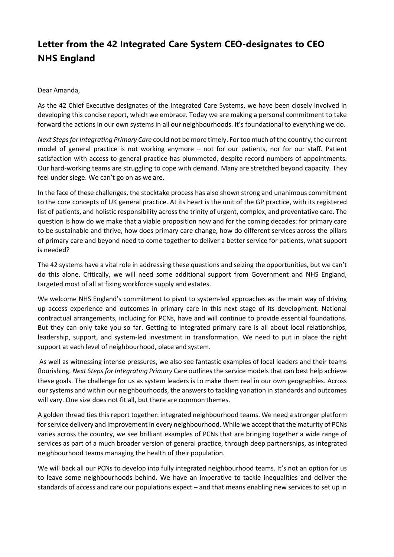## **Letter from the 42 Integrated Care System CEO-designates to CEO NHS England**

## Dear Amanda,

As the 42 Chief Executive designates of the Integrated Care Systems, we have been closely involved in developing this concise report, which we embrace. Today we are making a personal commitment to take forward the actions in our own systems in all our neighbourhoods. It's foundational to everything we do.

*Next Steps for Integrating Primary Care* could not be more timely. For too much of the country, the current model of general practice is not working anymore – not for our patients, nor for our staff. Patient satisfaction with access to general practice has plummeted, despite record numbers of appointments. Our hard-working teams are struggling to cope with demand. Many are stretched beyond capacity. They feel under siege. We can't go on as we are.

In the face of these challenges, the stocktake process has also shown strong and unanimous commitment to the core concepts of UK general practice. At its heart is the unit of the GP practice, with its registered list of patients, and holistic responsibility across the trinity of urgent, complex, and preventative care. The question is how do we make that a viable proposition now and for the coming decades: for primary care to be sustainable and thrive, how does primary care change, how do different services across the pillars of primary care and beyond need to come together to deliver a better service for patients, what support is needed?

The 42 systems have a vital role in addressing these questions and seizing the opportunities, but we can't do this alone. Critically, we will need some additional support from Government and NHS England, targeted most of all at fixing workforce supply and estates.

We welcome NHS England's commitment to pivot to system-led approaches as the main way of driving up access experience and outcomes in primary care in this next stage of its development. National contractual arrangements, including for PCNs, have and will continue to provide essential foundations. But they can only take you so far. Getting to integrated primary care is all about local relationships, leadership, support, and system-led investment in transformation. We need to put in place the right support at each level of neighbourhood, place and system.

As well as witnessing intense pressures, we also see fantastic examples of local leaders and their teams flourishing. *Next Steps for Integrating Primary* Care outlines the service models that can best help achieve these goals. The challenge for us as system leaders is to make them real in our own geographies. Across our systems and within our neighbourhoods, the answers to tackling variation in standards and outcomes will vary. One size does not fit all, but there are common themes.

A golden thread ties this report together: integrated neighbourhood teams. We need a stronger platform for service delivery and improvement in every neighbourhood. While we accept that the maturity of PCNs varies across the country, we see brilliant examples of PCNs that are bringing together a wide range of services as part of a much broader version of general practice, through deep partnerships, as integrated neighbourhood teams managing the health of their population.

We will back all our PCNs to develop into fully integrated neighbourhood teams. It's not an option for us to leave some neighbourhoods behind. We have an imperative to tackle inequalities and deliver the standards of access and care our populations expect – and that means enabling new services to set up in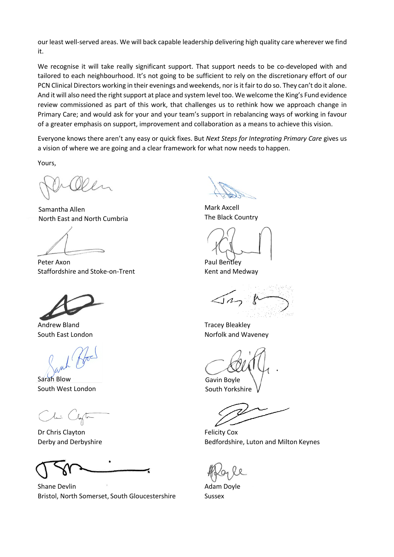our least well-served areas. We will back capable leadership delivering high quality care wherever we find it.

We recognise it will take really significant support. That support needs to be co-developed with and tailored to each neighbourhood. It's not going to be sufficient to rely on the discretionary effort of our PCN Clinical Directors working in their evenings and weekends, nor is it fair to do so. They can't do it alone. And it will also need the right support at place and system level too. We welcome the King's Fund evidence review commissioned as part of this work, that challenges us to rethink how we approach change in Primary Care; and would ask for your and your team's support in rebalancing ways of working in favour of a greater emphasis on support, improvement and collaboration as a means to achieve this vision.

Everyone knows there aren't any easy or quick fixes. But *Next Steps for Integrating Primary Care* gives us a vision of where we are going and a clear framework for what now needs to happen.

Yours,

Samantha Allen North East and North Cumbria

Peter Axon **Paul Bentley** Staffordshire and Stoke-on-Trent Kent and Medway

Andrew Bland **Tracey Bleakley** 

Sarah Blow South West London

(limi Clapte

Dr Chris Clayton **Felicity Cox** 

Shane Devlin **Adam Doyle Adam Doyle** Bristol, North Somerset, South Gloucestershire Sussex

Mark Axcell The Black Country

South East London **Nortogen Communist Communist Communist Communist Communist Communist Communist Communist Communist Communist Communist Communist Communist Communist Communist Communist Communist Communist Communist Comm** 

Gavin Boyle

South Yorkshire

Derby and Derbyshire Bedfordshire, Luton and Milton Keynes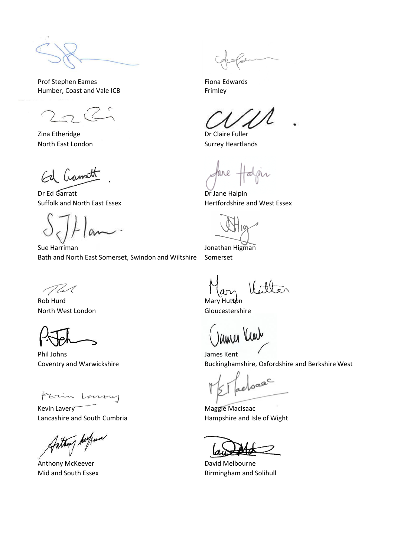Prof Stephen Eames Fiona Edwards Humber, Coast and Vale ICB Frimley

Zina Etheridge **Dr Claire Fuller** North East London Surrey Heartlands

Ed Cramatt

Dr Ed Garratt Dr Jane Halpin

Sue Harriman **Jonathan Higman** Bath and North East Somerset, Swindon and Wiltshire Somerset

TWC

Rob Hurd Mary Hutton North West London Gloucestershire

Phil Johns **James Kent** 

Frim Luvery

Kevin Lavery **Maggie MacIsaac** Lancashire and South Cumbria **Hampshire and Isle of Wight** Hampshire and Isle of Wight

Anthony Aufunc

Anthony McKeever **David Melbourne** 

Suffolk and North East Essex **Hertfordshire and West Essex** 

Coventry and Warwickshire **Buckinghamshire, Oxfordshire and Berkshire West** Buckinghamshire, Oxfordshire and Berkshire West

eloase

Mid and South Essex **Birmingham and Solihull**